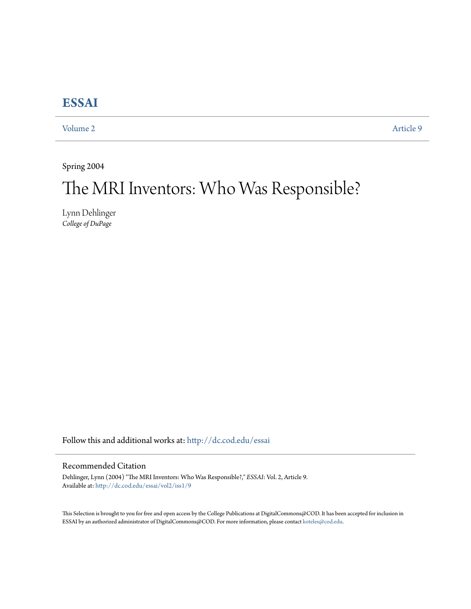## **[ESSAI](http://dc.cod.edu/essai?utm_source=dc.cod.edu%2Fessai%2Fvol2%2Fiss1%2F9&utm_medium=PDF&utm_campaign=PDFCoverPages)**

[Volume 2](http://dc.cod.edu/essai/vol2?utm_source=dc.cod.edu%2Fessai%2Fvol2%2Fiss1%2F9&utm_medium=PDF&utm_campaign=PDFCoverPages) [Article 9](http://dc.cod.edu/essai/vol2/iss1/9?utm_source=dc.cod.edu%2Fessai%2Fvol2%2Fiss1%2F9&utm_medium=PDF&utm_campaign=PDFCoverPages)

Spring 2004

# The MRI Inventors: Who Was Responsible?

Lynn Dehlinger *College of DuPage*

Follow this and additional works at: [http://dc.cod.edu/essai](http://dc.cod.edu/essai?utm_source=dc.cod.edu%2Fessai%2Fvol2%2Fiss1%2F9&utm_medium=PDF&utm_campaign=PDFCoverPages)

### Recommended Citation

Dehlinger, Lynn (2004) "The MRI Inventors: Who Was Responsible?," *ESSAI*: Vol. 2, Article 9. Available at: [http://dc.cod.edu/essai/vol2/iss1/9](http://dc.cod.edu/essai/vol2/iss1/9?utm_source=dc.cod.edu%2Fessai%2Fvol2%2Fiss1%2F9&utm_medium=PDF&utm_campaign=PDFCoverPages)

This Selection is brought to you for free and open access by the College Publications at DigitalCommons@COD. It has been accepted for inclusion in ESSAI by an authorized administrator of DigitalCommons@COD. For more information, please contact [koteles@cod.edu](mailto:koteles@cod.edu).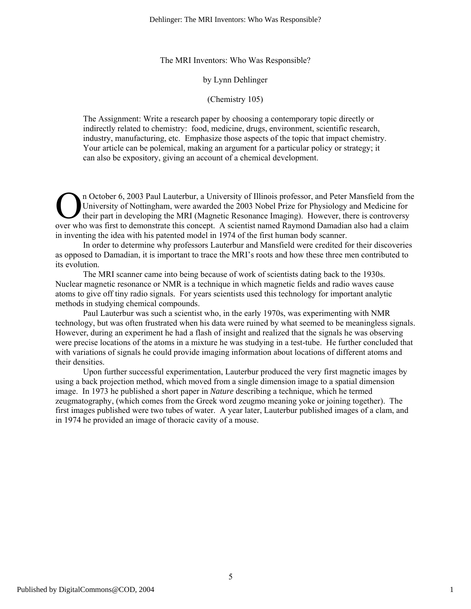The MRI Inventors: Who Was Responsible?

#### by Lynn Dehlinger

#### (Chemistry 105)

The Assignment: Write a research paper by choosing a contemporary topic directly or indirectly related to chemistry: food, medicine, drugs, environment, scientific research, industry, manufacturing, etc. Emphasize those aspects of the topic that impact chemistry. Your article can be polemical, making an argument for a particular policy or strategy; it can also be expository, giving an account of a chemical development.

n October 6, 2003 Paul Lauterbur, a University of Illinois professor, and Peter Mansfield from the University of Nottingham, were awarded the 2003 Nobel Prize for Physiology and Medicine for their part in developing the MRI (Magnetic Resonance Imaging). However, there is controversy <sup>n</sup> October 6, 2003 Paul Lauterbur, a University of Illinois professor, and Peter Mansfield from the University of Nottingham, were awarded the 2003 Nobel Prize for Physiology and Medicine for their part in developing the in inventing the idea with his patented model in 1974 of the first human body scanner.

In order to determine why professors Lauterbur and Mansfield were credited for their discoveries as opposed to Damadian, it is important to trace the MRI's roots and how these three men contributed to its evolution.

The MRI scanner came into being because of work of scientists dating back to the 1930s. Nuclear magnetic resonance or NMR is a technique in which magnetic fields and radio waves cause atoms to give off tiny radio signals. For years scientists used this technology for important analytic methods in studying chemical compounds.

Paul Lauterbur was such a scientist who, in the early 1970s, was experimenting with NMR technology, but was often frustrated when his data were ruined by what seemed to be meaningless signals. However, during an experiment he had a flash of insight and realized that the signals he was observing were precise locations of the atoms in a mixture he was studying in a test-tube. He further concluded that with variations of signals he could provide imaging information about locations of different atoms and their densities.

Upon further successful experimentation, Lauterbur produced the very first magnetic images by using a back projection method, which moved from a single dimension image to a spatial dimension image. In 1973 he published a short paper in *Nature* describing a technique, which he termed zeugmatography, (which comes from the Greek word zeugmo meaning yoke or joining together). The first images published were two tubes of water. A year later, Lauterbur published images of a clam, and in 1974 he provided an image of thoracic cavity of a mouse.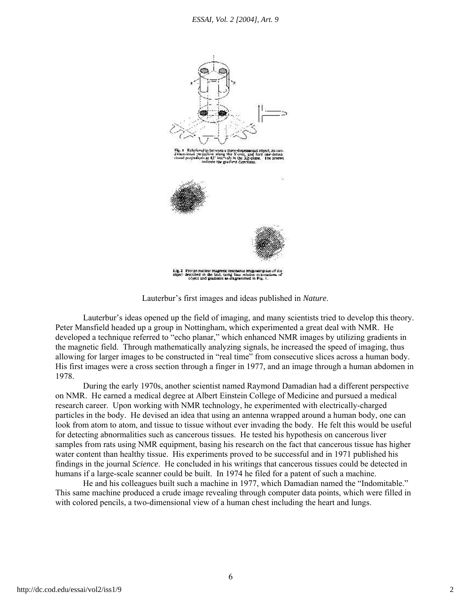

Lauterbur's first images and ideas published in *Nature*.

Lauterbur's ideas opened up the field of imaging, and many scientists tried to develop this theory. Peter Mansfield headed up a group in Nottingham, which experimented a great deal with NMR. He developed a technique referred to "echo planar," which enhanced NMR images by utilizing gradients in the magnetic field. Through mathematically analyzing signals, he increased the speed of imaging, thus allowing for larger images to be constructed in "real time" from consecutive slices across a human body. His first images were a cross section through a finger in 1977, and an image through a human abdomen in 1978.

During the early 1970s, another scientist named Raymond Damadian had a different perspective on NMR. He earned a medical degree at Albert Einstein College of Medicine and pursued a medical research career. Upon working with NMR technology, he experimented with electrically-charged particles in the body. He devised an idea that using an antenna wrapped around a human body, one can look from atom to atom, and tissue to tissue without ever invading the body. He felt this would be useful for detecting abnormalities such as cancerous tissues. He tested his hypothesis on cancerous liver samples from rats using NMR equipment, basing his research on the fact that cancerous tissue has higher water content than healthy tissue. His experiments proved to be successful and in 1971 published his findings in the journal *Science*. He concluded in his writings that cancerous tissues could be detected in humans if a large-scale scanner could be built. In 1974 he filed for a patent of such a machine.

He and his colleagues built such a machine in 1977, which Damadian named the "Indomitable." This same machine produced a crude image revealing through computer data points, which were filled in with colored pencils, a two-dimensional view of a human chest including the heart and lungs.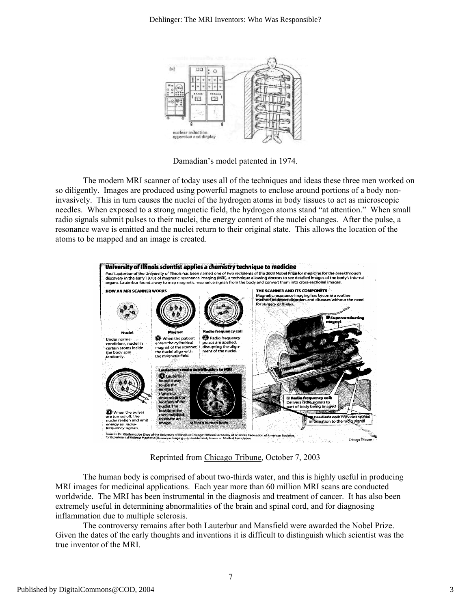

Damadian's model patented in 1974.

The modern MRI scanner of today uses all of the techniques and ideas these three men worked on so diligently. Images are produced using powerful magnets to enclose around portions of a body noninvasively. This in turn causes the nuclei of the hydrogen atoms in body tissues to act as microscopic needles. When exposed to a strong magnetic field, the hydrogen atoms stand "at attention." When small radio signals submit pulses to their nuclei, the energy content of the nuclei changes. After the pulse, a resonance wave is emitted and the nuclei return to their original state. This allows the location of the atoms to be mapped and an image is created.



Reprinted from Chicago Tribune, October 7, 2003

The human body is comprised of about two-thirds water, and this is highly useful in producing MRI images for medicinal applications. Each year more than 60 million MRI scans are conducted worldwide. The MRI has been instrumental in the diagnosis and treatment of cancer. It has also been extremely useful in determining abnormalities of the brain and spinal cord, and for diagnosing inflammation due to multiple sclerosis.

The controversy remains after both Lauterbur and Mansfield were awarded the Nobel Prize. Given the dates of the early thoughts and inventions it is difficult to distinguish which scientist was the true inventor of the MRI.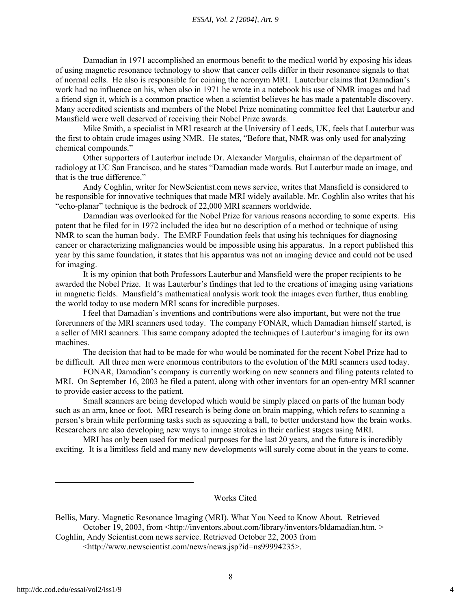#### *ESSAI, Vol. 2 [2004], Art. 9*

Damadian in 1971 accomplished an enormous benefit to the medical world by exposing his ideas of using magnetic resonance technology to show that cancer cells differ in their resonance signals to that of normal cells. He also is responsible for coining the acronym MRI. Lauterbur claims that Damadian's work had no influence on his, when also in 1971 he wrote in a notebook his use of NMR images and had a friend sign it, which is a common practice when a scientist believes he has made a patentable discovery. Many accredited scientists and members of the Nobel Prize nominating committee feel that Lauterbur and Mansfield were well deserved of receiving their Nobel Prize awards.

Mike Smith, a specialist in MRI research at the University of Leeds, UK, feels that Lauterbur was the first to obtain crude images using NMR. He states, "Before that, NMR was only used for analyzing chemical compounds."

Other supporters of Lauterbur include Dr. Alexander Margulis, chairman of the department of radiology at UC San Francisco, and he states "Damadian made words. But Lauterbur made an image, and that is the true difference."

Andy Coghlin, writer for NewScientist.com news service, writes that Mansfield is considered to be responsible for innovative techniques that made MRI widely available. Mr. Coghlin also writes that his "echo-planar" technique is the bedrock of 22,000 MRI scanners worldwide.

Damadian was overlooked for the Nobel Prize for various reasons according to some experts. His patent that he filed for in 1972 included the idea but no description of a method or technique of using NMR to scan the human body. The EMRF Foundation feels that using his techniques for diagnosing cancer or characterizing malignancies would be impossible using his apparatus. In a report published this year by this same foundation, it states that his apparatus was not an imaging device and could not be used for imaging.

It is my opinion that both Professors Lauterbur and Mansfield were the proper recipients to be awarded the Nobel Prize. It was Lauterbur's findings that led to the creations of imaging using variations in magnetic fields. Mansfield's mathematical analysis work took the images even further, thus enabling the world today to use modern MRI scans for incredible purposes.

I feel that Damadian's inventions and contributions were also important, but were not the true forerunners of the MRI scanners used today. The company FONAR, which Damadian himself started, is a seller of MRI scanners. This same company adopted the techniques of Lauterbur's imaging for its own machines.

The decision that had to be made for who would be nominated for the recent Nobel Prize had to be difficult. All three men were enormous contributors to the evolution of the MRI scanners used today.

FONAR, Damadian's company is currently working on new scanners and filing patents related to MRI. On September 16, 2003 he filed a patent, along with other inventors for an open-entry MRI scanner to provide easier access to the patient.

Small scanners are being developed which would be simply placed on parts of the human body such as an arm, knee or foot. MRI research is being done on brain mapping, which refers to scanning a person's brain while performing tasks such as squeezing a ball, to better understand how the brain works. Researchers are also developing new ways to image strokes in their earliest stages using MRI.

MRI has only been used for medical purposes for the last 20 years, and the future is incredibly exciting. It is a limitless field and many new developments will surely come about in the years to come.

Works Cited

Bellis, Mary. Magnetic Resonance Imaging (MRI). What You Need to Know About. Retrieved October 19, 2003, from <http://inventors.about.com/library/inventors/bldamadian.htm. > Coghlin, Andy Scientist.com news service. Retrieved October 22, 2003 from

<sup>&</sup>lt;http://www.newscientist.com/news/news.jsp?id=ns99994235>.